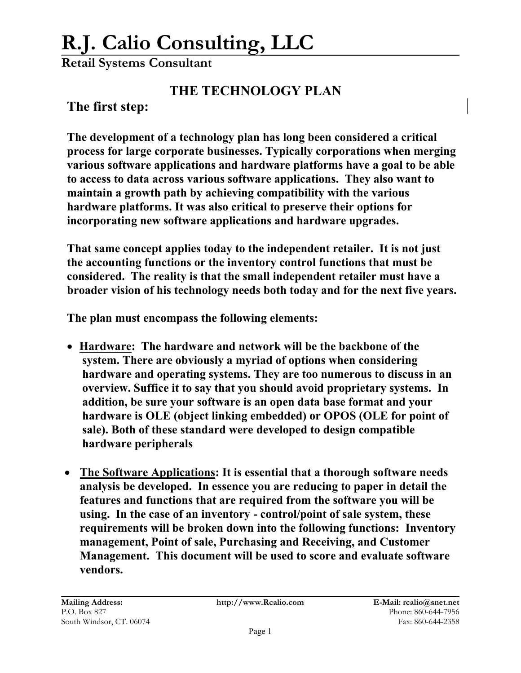## **R.J. Calio Consulting, LLC**

**Retail Systems Consultant**

## **THE TECHNOLOGY PLAN**

**The first step:**

**The development of a technology plan has long been considered a critical process for large corporate businesses. Typically corporations when merging various software applications and hardware platforms have a goal to be able to access to data across various software applications. They also want to maintain a growth path by achieving compatibility with the various hardware platforms. It was also critical to preserve their options for incorporating new software applications and hardware upgrades.** 

**That same concept applies today to the independent retailer. It is not just the accounting functions or the inventory control functions that must be considered. The reality is that the small independent retailer must have a broader vision of his technology needs both today and for the next five years.** 

**The plan must encompass the following elements:** 

- **Hardware: The hardware and network will be the backbone of the system. There are obviously a myriad of options when considering hardware and operating systems. They are too numerous to discuss in an overview. Suffice it to say that you should avoid proprietary systems. In addition, be sure your software is an open data base format and your hardware is OLE (object linking embedded) or OPOS (OLE for point of sale). Both of these standard were developed to design compatible hardware peripherals**
- **The Software Applications: It is essential that a thorough software needs analysis be developed. In essence you are reducing to paper in detail the features and functions that are required from the software you will be using. In the case of an inventory - control/point of sale system, these requirements will be broken down into the following functions: Inventory management, Point of sale, Purchasing and Receiving, and Customer Management. This document will be used to score and evaluate software vendors.**